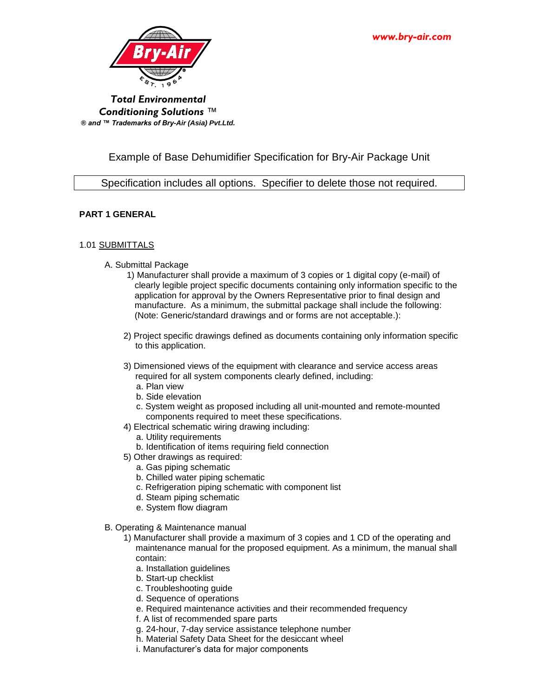

*Total Environmental Conditioning Solutions* ™ *® and ™ Trademarks of Bry-Air (Asia) Pvt.Ltd.*

# Example of Base Dehumidifier Specification for Bry-Air Package Unit

Specification includes all options. Specifier to delete those not required.

# **PART 1 GENERAL**

# 1.01 SUBMITTALS

- A. Submittal Package
	- 1) Manufacturer shall provide a maximum of 3 copies or 1 digital copy (e-mail) of clearly legible project specific documents containing only information specific to the application for approval by the Owners Representative prior to final design and manufacture. As a minimum, the submittal package shall include the following: (Note: Generic/standard drawings and or forms are not acceptable.):
	- 2) Project specific drawings defined as documents containing only information specific to this application.
	- 3) Dimensioned views of the equipment with clearance and service access areas required for all system components clearly defined, including:
		- a. Plan view
		- b. Side elevation
		- c. System weight as proposed including all unit-mounted and remote-mounted components required to meet these specifications.
	- 4) Electrical schematic wiring drawing including:
		- a. Utility requirements
		- b. Identification of items requiring field connection
	- 5) Other drawings as required:
		- a. Gas piping schematic
		- b. Chilled water piping schematic
		- c. Refrigeration piping schematic with component list
		- d. Steam piping schematic
		- e. System flow diagram
- B. Operating & Maintenance manual
	- 1) Manufacturer shall provide a maximum of 3 copies and 1 CD of the operating and maintenance manual for the proposed equipment. As a minimum, the manual shall contain:
		- a. Installation guidelines
		- b. Start-up checklist
		- c. Troubleshooting guide
		- d. Sequence of operations
		- e. Required maintenance activities and their recommended frequency
		- f. A list of recommended spare parts
		- g. 24-hour, 7-day service assistance telephone number
		- h. Material Safety Data Sheet for the desiccant wheel
		- i. Manufacturer's data for major components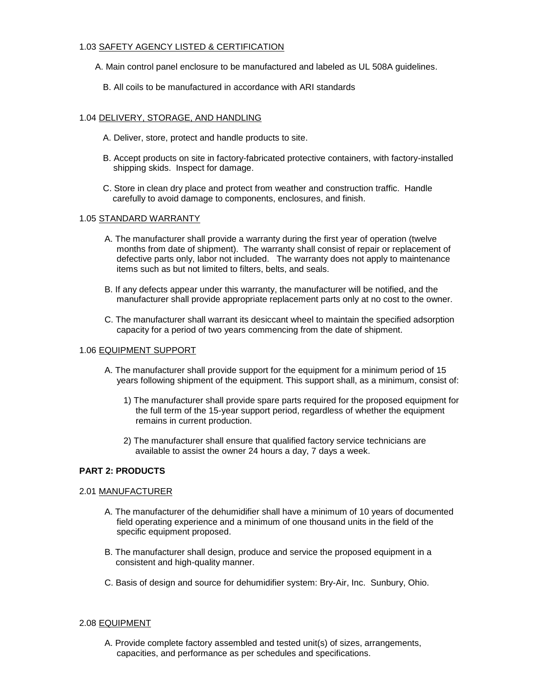# 1.03 SAFETY AGENCY LISTED & CERTIFICATION

- A. Main control panel enclosure to be manufactured and labeled as UL 508A guidelines.
	- B. All coils to be manufactured in accordance with ARI standards

#### 1.04 DELIVERY, STORAGE, AND HANDLING

- A. Deliver, store, protect and handle products to site.
- B. Accept products on site in factory-fabricated protective containers, with factory-installed shipping skids. Inspect for damage.
- C. Store in clean dry place and protect from weather and construction traffic. Handle carefully to avoid damage to components, enclosures, and finish.

#### 1.05 STANDARD WARRANTY

- A. The manufacturer shall provide a warranty during the first year of operation (twelve months from date of shipment). The warranty shall consist of repair or replacement of defective parts only, labor not included. The warranty does not apply to maintenance items such as but not limited to filters, belts, and seals.
- B. If any defects appear under this warranty, the manufacturer will be notified, and the manufacturer shall provide appropriate replacement parts only at no cost to the owner.
- C. The manufacturer shall warrant its desiccant wheel to maintain the specified adsorption capacity for a period of two years commencing from the date of shipment.

#### 1.06 EQUIPMENT SUPPORT

- A. The manufacturer shall provide support for the equipment for a minimum period of 15 years following shipment of the equipment. This support shall, as a minimum, consist of:
	- 1) The manufacturer shall provide spare parts required for the proposed equipment for the full term of the 15-year support period, regardless of whether the equipment remains in current production.
	- 2) The manufacturer shall ensure that qualified factory service technicians are available to assist the owner 24 hours a day, 7 days a week.

# **PART 2: PRODUCTS**

#### 2.01 MANUFACTURER

- A. The manufacturer of the dehumidifier shall have a minimum of 10 years of documented field operating experience and a minimum of one thousand units in the field of the specific equipment proposed.
- B. The manufacturer shall design, produce and service the proposed equipment in a consistent and high-quality manner.
- C. Basis of design and source for dehumidifier system: Bry-Air, Inc. Sunbury, Ohio.

#### 2.08 EQUIPMENT

A. Provide complete factory assembled and tested unit(s) of sizes, arrangements, capacities, and performance as per schedules and specifications.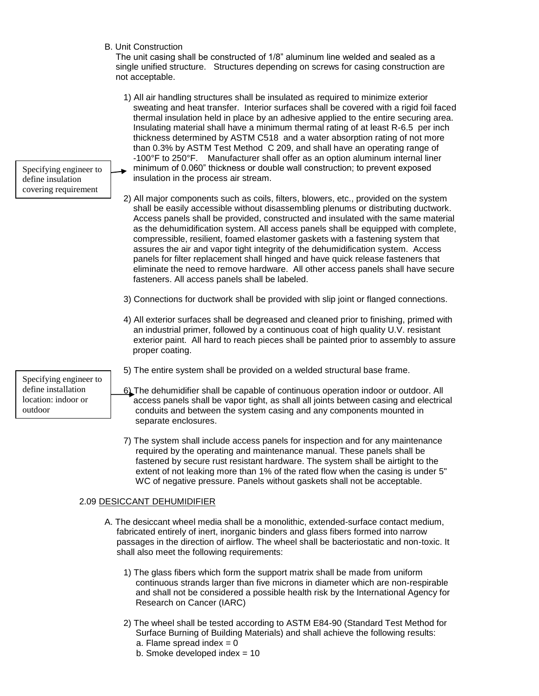B. Unit Construction

 The unit casing shall be constructed of 1/8" aluminum line welded and sealed as a single unified structure. Structures depending on screws for casing construction are not acceptable.

1) All air handling structures shall be insulated as required to minimize exterior sweating and heat transfer. Interior surfaces shall be covered with a rigid foil faced thermal insulation held in place by an adhesive applied to the entire securing area. Insulating material shall have a minimum thermal rating of at least R-6.5 per inch thickness determined by ASTM C518 and a water absorption rating of not more than 0.3% by ASTM Test Method C 209, and shall have an operating range of -100°F to 250°F. Manufacturer shall offer as an option aluminum internal liner minimum of 0.060" thickness or double wall construction; to prevent exposed insulation in the process air stream.

2) All major components such as coils, filters, blowers, etc., provided on the system shall be easily accessible without disassembling plenums or distributing ductwork. Access panels shall be provided, constructed and insulated with the same material as the dehumidification system. All access panels shall be equipped with complete, compressible, resilient, foamed elastomer gaskets with a fastening system that assures the air and vapor tight integrity of the dehumidification system. Access panels for filter replacement shall hinged and have quick release fasteners that eliminate the need to remove hardware. All other access panels shall have secure fasteners. All access panels shall be labeled.

- 3) Connections for ductwork shall be provided with slip joint or flanged connections.
- 4) All exterior surfaces shall be degreased and cleaned prior to finishing, primed with an industrial primer, followed by a continuous coat of high quality U.V. resistant exterior paint. All hard to reach pieces shall be painted prior to assembly to assure proper coating.
- 5) The entire system shall be provided on a welded structural base frame.
- 6) The dehumidifier shall be capable of continuous operation indoor or outdoor. All access panels shall be vapor tight, as shall all joints between casing and electrical conduits and between the system casing and any components mounted in separate enclosures.
- 7) The system shall include access panels for inspection and for any maintenance required by the operating and maintenance manual. These panels shall be fastened by secure rust resistant hardware. The system shall be airtight to the extent of not leaking more than 1% of the rated flow when the casing is under 5" WC of negative pressure. Panels without gaskets shall not be acceptable.

# 2.09 DESICCANT DEHUMIDIFIER

- A. The desiccant wheel media shall be a monolithic, extended-surface contact medium, fabricated entirely of inert, inorganic binders and glass fibers formed into narrow passages in the direction of airflow. The wheel shall be bacteriostatic and non-toxic. It shall also meet the following requirements:
	- 1) The glass fibers which form the support matrix shall be made from uniform continuous strands larger than five microns in diameter which are non-respirable and shall not be considered a possible health risk by the International Agency for Research on Cancer (IARC)
	- 2) The wheel shall be tested according to ASTM E84-90 (Standard Test Method for Surface Burning of Building Materials) and shall achieve the following results:
		- a. Flame spread index  $= 0$
		- b. Smoke developed index = 10

Specifying engineer to define installation location: indoor or outdoor

Specifying engineer to define insulation covering requirement